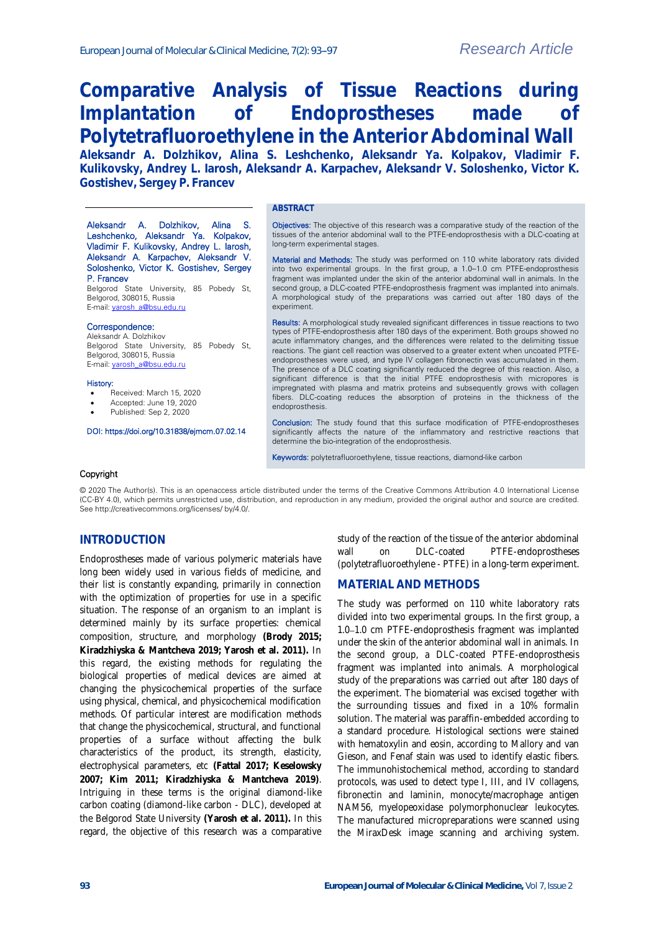Aleksandr A. Dolzhikov, Alina S. Leshchenko, Aleksandr Ya. Kolpakov, Vladimir F. Kulikovsky, Andrey L. Iarosh, Aleksandr A. Karpachev, Aleksandr V. Soloshenko, Victor K. Gostishev, Sergey

Belgorod State University, 85 Pobedy St,

Belgorod State University, 85 Pobedy St,

DOI: https://doi.org/10.31838/ejmcm.07.02.14

# **Comparative Analysis of Tissue Reactions during Implantation of Endoprostheses made of Polytetrafluoroethylene in the Anterior Abdominal Wall**

**Aleksandr A. Dolzhikov, Alina S. Leshchenko, Aleksandr Ya. Kolpakov, Vladimir F. Kulikovsky, Andrey L. Iarosh, Aleksandr A. Karpachev, Aleksandr V. Soloshenko, Victor K. Gostishev, Sergey P. Francev**

#### **ABSTRACT**

**Objectives:** The objective of this research was a comparative study of the reaction of the tissues of the anterior abdominal wall to the PTFE-endoprosthesis with a DLC-coating at long-term experimental stages.

Material and Methods: The study was performed on 110 white laboratory rats divided into two experimental groups. In the first group, a 1.0–1.0 cm PTFE-endoprosthesis fragment was implanted under the skin of the anterior abdominal wall in animals. In the second group, a DLC-coated PTFE-endoprosthesis fragment was implanted into animals. A morphological study of the preparations was carried out after 180 days of the experiment.

Results: A morphological study revealed significant differences in tissue reactions to two types of PTFE-endoprosthesis after 180 days of the experiment. Both groups showed no acute inflammatory changes, and the differences were related to the delimiting tissue reactions. The giant cell reaction was observed to a greater extent when uncoated PTFEendoprostheses were used, and type IV collagen fibronectin was accumulated in them. The presence of a DLC coating significantly reduced the degree of this reaction. Also, a significant difference is that the initial PTFE endoprosthesis with micropores is impregnated with plasma and matrix proteins and subsequently grows with collagen fibers. DLC-coating reduces the absorption of proteins in the thickness of the endoprosthesis.

Conclusion: The study found that this surface modification of PTFE-endoprostheses significantly affects the nature of the inflammatory and restrictive reactions that determine the bio-integration of the endoprosthesis.

Keywords: polytetrafluoroethylene, tissue reactions, diamond-like carbon

#### Copyright

History:

P. Francev

Belgorod, 308015, Russia E-mail[: yarosh\\_a@bsu.edu.ru](mailto:yarosh_a@bsu.edu.ru)

Belgorod, 308015, Russia E-mail[: yarosh\\_a@bsu.edu.ru](mailto:yarosh_a@bsu.edu.ru)

Received: March 15, 2020 Accepted: June 19, 2020 Published: Sep 2, 2020

Correspondence: Aleksandr A. Dolzhikov

© 2020 The Author(s). This is an openaccess article distributed under the terms of the Creative Commons Attribution 4.0 International License (CC-BY 4.0), which permits unrestricted use, distribution, and reproduction in any medium, provided the original author and source are credited. See http://creativecommons.org/licenses/ by/4.0/.

## **INTRODUCTION**

Endoprostheses made of various polymeric materials have long been widely used in various fields of medicine, and their list is constantly expanding, primarily in connection with the optimization of properties for use in a specific situation. The response of an organism to an implant is determined mainly by its surface properties: chemical composition, structure, and morphology **(Brody 2015; Kiradzhiyska & Mantcheva 2019; Yarosh et al. 2011).** In this regard, the existing methods for regulating the biological properties of medical devices are aimed at changing the physicochemical properties of the surface using physical, chemical, and physicochemical modification methods. Of particular interest are modification methods that change the physicochemical, structural, and functional properties of a surface without affecting the bulk characteristics of the product, its strength, elasticity, electrophysical parameters, etc **(Fattal 2017; Keselowsky 2007; Kim 2011; Kiradzhiyska & Mantcheva 2019)**. Intriguing in these terms is the original diamond-like carbon coating (diamond-like carbon - DLC), developed at the Belgorod State University **(Yarosh et al. 2011).** In this regard, the objective of this research was a comparative

study of the reaction of the tissue of the anterior abdominal wall on DLC-coated PTFE-endoprostheses (polytetrafluoroethylene - PTFE) in a long-term experiment.

#### **MATERIAL AND METHODS**

The study was performed on 110 white laboratory rats divided into two experimental groups. In the first group, a 1.0-1.0 cm PTFE-endoprosthesis fragment was implanted under the skin of the anterior abdominal wall in animals. In the second group, a DLC-coated PTFE-endoprosthesis fragment was implanted into animals. A morphological study of the preparations was carried out after 180 days of the experiment. The biomaterial was excised together with the surrounding tissues and fixed in a 10% formalin solution. The material was paraffin-embedded according to a standard procedure. Histological sections were stained with hematoxylin and eosin, according to Mallory and van Gieson, and Fenaf stain was used to identify elastic fibers. The immunohistochemical method, according to standard protocols, was used to detect type I, III, and IV collagens, fibronectin and laminin, monocyte/macrophage antigen NAM56, myelopeoxidase polymorphonuclear leukocytes. The manufactured micropreparations were scanned using the MiraxDesk image scanning and archiving system.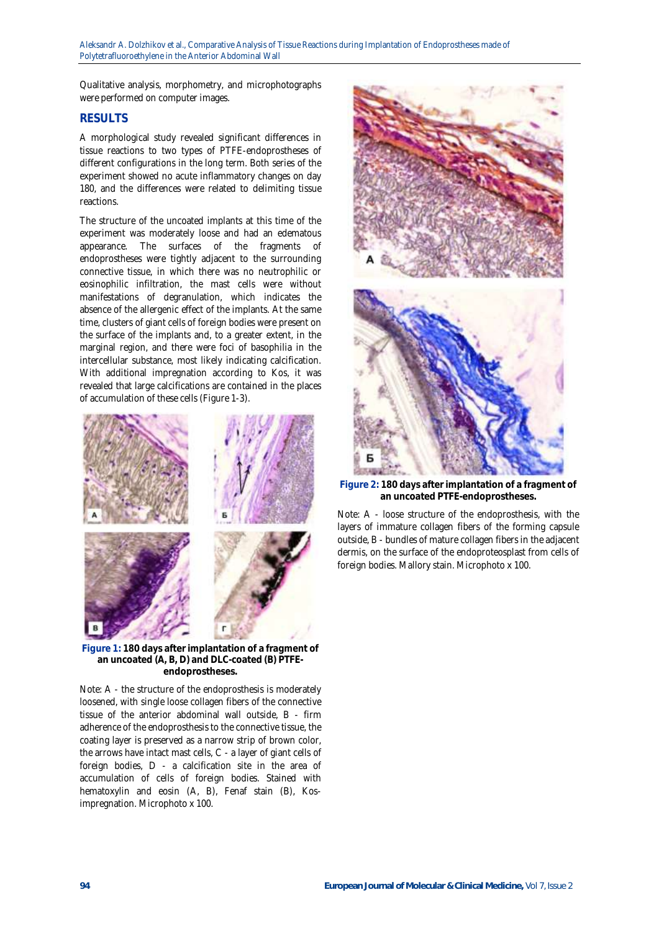Qualitative analysis, morphometry, and microphotographs were performed on computer images.

## **RESULTS**

A morphological study revealed significant differences in tissue reactions to two types of PTFE-endoprostheses of different configurations in the long term. Both series of the experiment showed no acute inflammatory changes on day 180, and the differences were related to delimiting tissue reactions.

The structure of the uncoated implants at this time of the experiment was moderately loose and had an edematous appearance. The surfaces of the fragments of endoprostheses were tightly adjacent to the surrounding connective tissue, in which there was no neutrophilic or eosinophilic infiltration, the mast cells were without manifestations of degranulation, which indicates the absence of the allergenic effect of the implants. At the same time, clusters of giant cells of foreign bodies were present on the surface of the implants and, to a greater extent, in the marginal region, and there were foci of basophilia in the intercellular substance, most likely indicating calcification. With additional impregnation according to Kos, it was revealed that large calcifications are contained in the places of accumulation of these cells (Figure 1-3).



**Figure 1: 180 days after implantation of a fragment of an uncoated (A, B, D) and DLC-coated (B) PTFEendoprostheses.**

Note: A - the structure of the endoprosthesis is moderately loosened, with single loose collagen fibers of the connective tissue of the anterior abdominal wall outside, B - firm adherence of the endoprosthesis to the connective tissue, the coating layer is preserved as a narrow strip of brown color, the arrows have intact mast cells, C - a layer of giant cells of foreign bodies, D - a calcification site in the area of accumulation of cells of foreign bodies. Stained with hematoxylin and eosin (A, B), Fenaf stain (B), Kosimpregnation. Microphoto x 100.



**Figure 2: 180 days after implantation of a fragment of an uncoated PTFE-endoprostheses.**

Note: A - loose structure of the endoprosthesis, with the layers of immature collagen fibers of the forming capsule outside, B - bundles of mature collagen fibers in the adjacent dermis, on the surface of the endoproteosplast from cells of foreign bodies. Mallory stain. Microphoto x 100.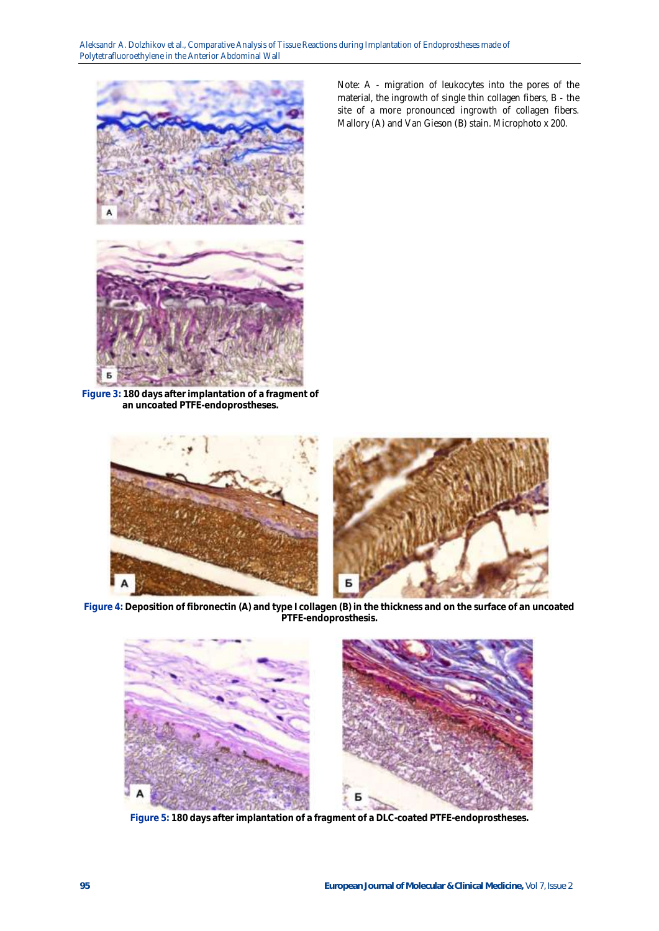

**Figure 3: 180 days after implantation of a fragment of an uncoated PTFE-endoprostheses.**

Note: A - migration of leukocytes into the pores of the material, the ingrowth of single thin collagen fibers, B - the site of a more pronounced ingrowth of collagen fibers. Mallory (A) and Van Gieson (B) stain. Microphoto x 200.



**Figure 4: Deposition of fibronectin (A) and type I collagen (B) in the thickness and on the surface of an uncoated PTFE-endoprosthesis.**



**Figure 5: 180 days after implantation of a fragment of a DLC-coated PTFE-endoprostheses.**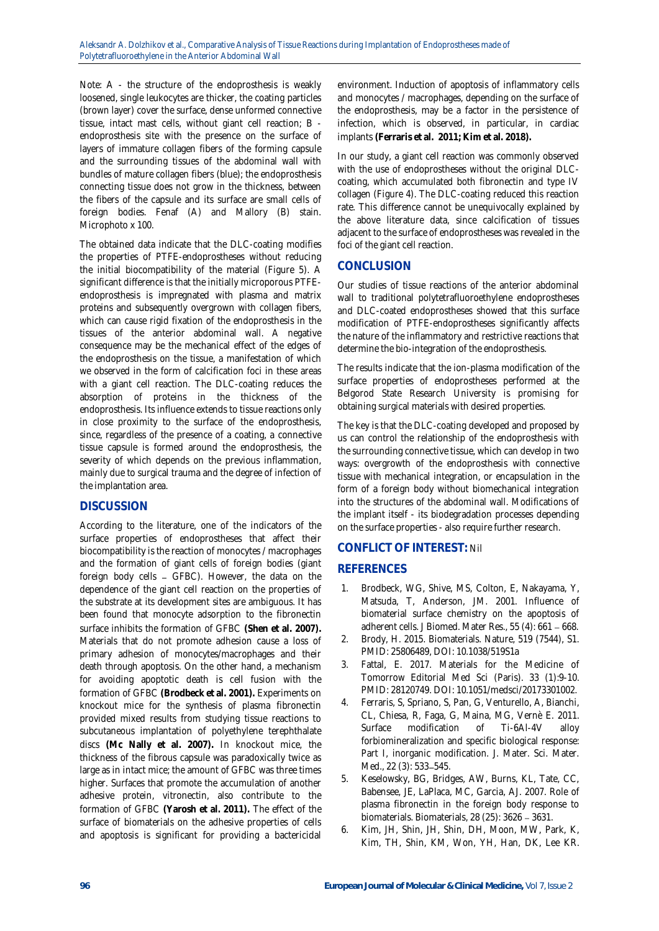Note: A - the structure of the endoprosthesis is weakly loosened, single leukocytes are thicker, the coating particles (brown layer) cover the surface, dense unformed connective tissue, intact mast cells, without giant cell reaction; B endoprosthesis site with the presence on the surface of layers of immature collagen fibers of the forming capsule and the surrounding tissues of the abdominal wall with bundles of mature collagen fibers (blue); the endoprosthesis connecting tissue does not grow in the thickness, between the fibers of the capsule and its surface are small cells of foreign bodies. Fenaf (A) and Mallory (B) stain. Microphoto x 100.

The obtained data indicate that the DLC-coating modifies the properties of PTFE-endoprostheses without reducing the initial biocompatibility of the material (Figure 5). A significant difference is that the initially microporous PTFEendoprosthesis is impregnated with plasma and matrix proteins and subsequently overgrown with collagen fibers, which can cause rigid fixation of the endoprosthesis in the tissues of the anterior abdominal wall. A negative consequence may be the mechanical effect of the edges of the endoprosthesis on the tissue, a manifestation of which we observed in the form of calcification foci in these areas with a giant cell reaction. The DLC-coating reduces the absorption of proteins in the thickness of the endoprosthesis. Its influence extends to tissue reactions only in close proximity to the surface of the endoprosthesis, since, regardless of the presence of a coating, a connective tissue capsule is formed around the endoprosthesis, the severity of which depends on the previous inflammation, mainly due to surgical trauma and the degree of infection of the implantation area.

### **DISCUSSION**

According to the literature, one of the indicators of the surface properties of endoprostheses that affect their biocompatibility is the reaction of monocytes / macrophages and the formation of giant cells of foreign bodies (giant foreign body cells - GFBC). However, the data on the dependence of the giant cell reaction on the properties of the substrate at its development sites are ambiguous. It has been found that monocyte adsorption to the fibronectin surface inhibits the formation of GFBC **(Shen et al. 2007).** Materials that do not promote adhesion cause a loss of primary adhesion of monocytes/macrophages and their death through apoptosis. On the other hand, a mechanism for avoiding apoptotic death is cell fusion with the formation of GFBC **(Brodbeck et al. 2001).** Experiments on knockout mice for the synthesis of plasma fibronectin provided mixed results from studying tissue reactions to subcutaneous implantation of polyethylene terephthalate discs **(Mc Nally et al. 2007).** In knockout mice, the thickness of the fibrous capsule was paradoxically twice as large as in intact mice; the amount of GFBC was three times higher. Surfaces that promote the accumulation of another adhesive protein, vitronectin, also contribute to the formation of GFBC **(Yarosh et al. 2011).** The effect of the surface of biomaterials on the adhesive properties of cells and apoptosis is significant for providing a bactericidal

environment. Induction of apoptosis of inflammatory cells and monocytes / macrophages, depending on the surface of the endoprosthesis, may be a factor in the persistence of infection, which is observed, in particular, in cardiac implants **(Ferraris et al. 2011; Kim et al. 2018).**

In our study, a giant cell reaction was commonly observed with the use of endoprostheses without the original DLCcoating, which accumulated both fibronectin and type IV collagen (Figure 4). The DLC-coating reduced this reaction rate. This difference cannot be unequivocally explained by the above literature data, since calcification of tissues adjacent to the surface of endoprostheses was revealed in the foci of the giant cell reaction.

# **CONCLUSION**

Our studies of tissue reactions of the anterior abdominal wall to traditional polytetrafluoroethylene endoprostheses and DLC-coated endoprostheses showed that this surface modification of PTFE-endoprostheses significantly affects the nature of the inflammatory and restrictive reactions that determine the bio-integration of the endoprosthesis.

The results indicate that the ion-plasma modification of the surface properties of endoprostheses performed at the Belgorod State Research University is promising for obtaining surgical materials with desired properties.

The key is that the DLC-coating developed and proposed by us can control the relationship of the endoprosthesis with the surrounding connective tissue, which can develop in two ways: overgrowth of the endoprosthesis with connective tissue with mechanical integration, or encapsulation in the form of a foreign body without biomechanical integration into the structures of the abdominal wall. Modifications of the implant itself - its biodegradation processes depending on the surface properties - also require further research.

# **CONFLICT OF INTEREST:** Nil

# **REFERENCES**

- 1. Brodbeck, WG, Shive, MS, Colton, E, Nakayama, Y, Matsuda, T, Anderson, JM. 2001. Influence of biomaterial surface chemistry on the apoptosis of adherent cells. J Biomed. Mater Res.,  $55(4)$ : 661 - 668.
- 2. Brody, H. 2015. Biomaterials. Nature, 519 (7544), S1. PMID: 25806489, DOI: 10.1038/519S1a
- 3. Fattal, E. 2017. Materials for the Medicine of Tomorrow Editorial Med Sci (Paris). 33 (1):9-10. PMID: 28120749. DOI: 10.1051/medsci/20173301002.
- 4. Ferraris, S, Spriano, S, Pan, G, Venturello, A, Bianchi, CL, Chiesa, R, Faga, G, Maina, MG, Vernè E. 2011. Surface modification of Ti-6Al-4V alloy forbiomineralization and specific biological response: Part I, inorganic modification. J. Mater. Sci. Mater. Med., 22 (3): 533-545.
- 5. Keselowsky, BG, Bridges, AW, Burns, KL, Tate, CC, Babensee, JE, LaPlaca, MC, Garcia, AJ. 2007. Role of plasma fibronectin in the foreign body response to biomaterials. Biomaterials,  $28$  ( $25$ ):  $3626 - 3631$ .
- 6. Kim, JH, Shin, JH, Shin, DH, Moon, MW, Park, K, Kim, TH, Shin, KM, Won, YH, Han, DK, Lee KR.